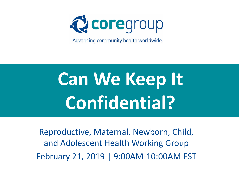

Advancing community health worldwide.

# **Can We Keep It Confidential?**

Reproductive, Maternal, Newborn, Child, and Adolescent Health Working Group February 21, 2019 | 9:00AM-10:00AM EST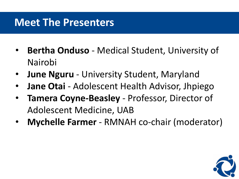#### **Meet The Presenters**

- **Bertha Onduso** Medical Student, University of Nairobi
- **June Nguru** University Student, Maryland
- **Jane Otai** Adolescent Health Advisor, Jhpiego
- **Tamera Coyne-Beasley**  Professor, Director of Adolescent Medicine, UAB
- **Mychelle Farmer**  RMNAH co-chair (moderator)

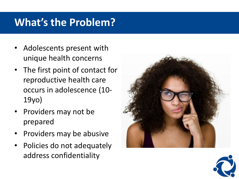# **What's the Problem?**

- Adolescents present with unique health concerns
- The first point of contact for reproductive health care occurs in adolescence (10- 19yo)
- Providers may not be prepared
- Providers may be abusive
- Policies do not adequately address confidentiality



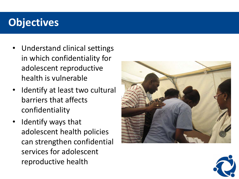# **Objectives**

- Understand clinical settings in which confidentiality for adolescent reproductive health is vulnerable
- Identify at least two cultural barriers that affects confidentiality
- Identify ways that adolescent health policies can strengthen confidential services for adolescent reproductive health



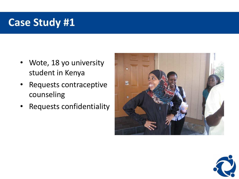- Wote, 18 yo university student in Kenya
- Requests contraceptive counseling
- Requests confidentiality



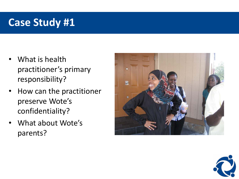- What is health practitioner's primary responsibility?
- How can the practitioner preserve Wote's confidentiality?
- What about Wote's parents?



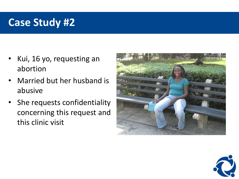- Kui, 16 yo, requesting an abortion
- Married but her husband is abusive
- She requests confidentiality concerning this request and this clinic visit



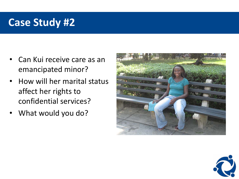- Can Kui receive care as an emancipated minor?
- How will her marital status affect her rights to confidential services?
- What would you do?



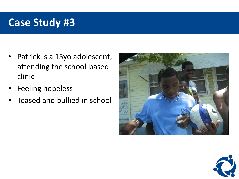- Patrick is a 15yo adolescent, attending the school-based clinic
- Feeling hopeless
- Teased and bullied in school



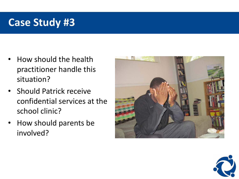- How should the health practitioner handle this situation?
- Should Patrick receive confidential services at the school clinic?
- How should parents be involved?



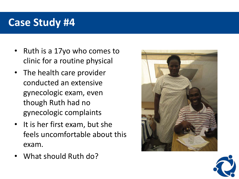- Ruth is a 17yo who comes to clinic for a routine physical
- The health care provider conducted an extensive gynecologic exam, even though Ruth had no gynecologic complaints
- It is her first exam, but she feels uncomfortable about this exam.
- What should Ruth do?



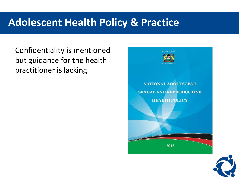#### **Adolescent Health Policy & Practice**

Confidentiality is mentioned but guidance for the health practitioner is lacking



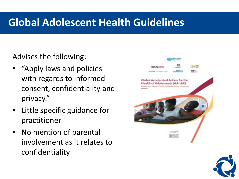#### **Global Adolescent Health Guidelines**

Advises the following:

- "Apply laws and policies with regards to informed consent, confidentiality and privacy."
- Little specific guidance for practitioner
- No mention of parental involvement as it relates to confidentiality



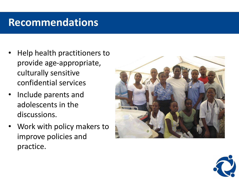#### **Recommendations**

- Help health practitioners to provide age-appropriate, culturally sensitive confidential services
- Include parents and adolescents in the discussions.
- Work with policy makers to improve policies and practice.



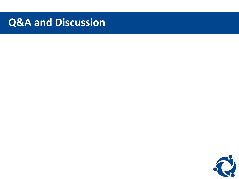#### **Q&A and Discussion**